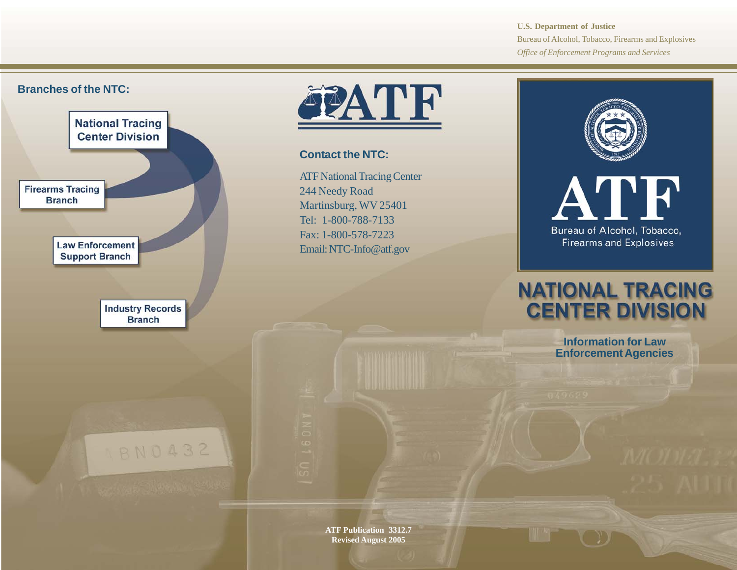**U.S. Department of Justice** Bureau of Alcohol, Tobacco, Firearms and Explosives *Office of Enforcement Programs and Services*

## **Branches of the NTC:**





**Contact the NTC:**

ATF National Tracing Center 244 Needy Road Martinsburg, WV 25401 Tel: 1-800-788-7133 Fax: 1-800-578-7223 Email: NTC-Info@atf.gov



**Firearms and Explosives** 

# **NATIONAL TRACING CENTER DIVISION**

**Information for Law Enforcement Agencies**

**ATF Publication 3312.7 Revised August 2005**